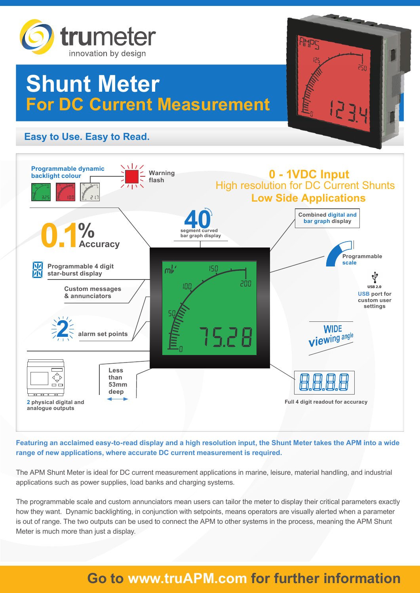

# **Shunt Meter For DC Current Measurement**

## **Easy to Use. Easy to Read.**



**RMPC** 

44

**Featuring an acclaimed easy-to-read display and a high resolution input, the Shunt Meter takes the APM into a wide range of new applications, where accurate DC current measurement is required.**

The APM Shunt Meter is ideal for DC current measurement applications in marine, leisure, material handling, and industrial applications such as power supplies, load banks and charging systems.

The programmable scale and custom annunciators mean users can tailor the meter to display their critical parameters exactly how they want. Dynamic backlighting, in conjunction with setpoints, means operators are visually alerted when a parameter is out of range. The two outputs can be used to connect the APM to other systems in the process, meaning the APM Shunt Meter is much more than just a display.

## **Go to www.truAPM.com for further information**